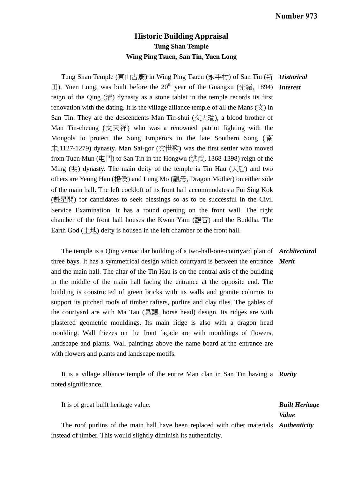## **Historic Building Appraisal Tung Shan Temple Wing Ping Tsuen, San Tin, Yuen Long**

Tung Shan Temple (東山古廟) in Wing Ping Tsuen (永平村) of San Tin (新 *Historical*  田), Yuen Long, was built before the 20<sup>th</sup> year of the Guangxu (光緒, 1894) **Interest** reign of the Qing (清) dynasty as a stone tablet in the temple records its first renovation with the dating. It is the village alliance temple of all the Mans  $(\dot{\chi})$  in San Tin. They are the descendents Man Tin-shui (文天瑞), a blood brother of Man Tin-cheung (文天祥) who was a renowned patriot fighting with the Mongols to protect the Song Emperors in the late Southern Song (南 宋,1127-1279) dynasty. Man Sai-gor (文世歌) was the first settler who moved from Tuen Mun  $(\vec{\text{H}}_1^{\text{H}})$  to San Tin in the Hongwu  $(\text{#} \vec{\text{H}}_1, 1368-1398)$  reign of the Ming  $(H)$  dynasty. The main deity of the temple is Tin Hau  $(\bar{\pm})$  and two others are Yeung Hau (楊侯) and Lung Mo (龍母, Dragon Mother) on either side of the main hall. The left cockloft of its front hall accommodates a Fui Sing Kok (魁星閣) for candidates to seek blessings so as to be successful in the Civil Service Examination. It has a round opening on the front wall. The right chamber of the front hall houses the Kwun Yam (觀音) and the Buddha. The Earth God  $(\pm \text{!})$  deity is housed in the left chamber of the front hall.

 The temple is a Qing vernacular building of a two-hall-one-courtyard plan of *Architectural*  three bays. It has a symmetrical design which courtyard is between the entrance *Merit*  and the main hall. The altar of the Tin Hau is on the central axis of the building in the middle of the main hall facing the entrance at the opposite end. The building is constructed of green bricks with its walls and granite columns to support its pitched roofs of timber rafters, purlins and clay tiles. The gables of the courtyard are with Ma Tau (馬頭, horse head) design. Its ridges are with plastered geometric mouldings. Its main ridge is also with a dragon head moulding. Wall friezes on the front façade are with mouldings of flowers, landscape and plants. Wall paintings above the name board at the entrance are with flowers and plants and landscape motifs.

 It is a village alliance temple of the entire Man clan in San Tin having a *Rarity*  noted significance.

It is of great built heritage value.

*Built Heritage Value* 

 The roof purlins of the main hall have been replaced with other materials *Authenticity*  instead of timber. This would slightly diminish its authenticity.